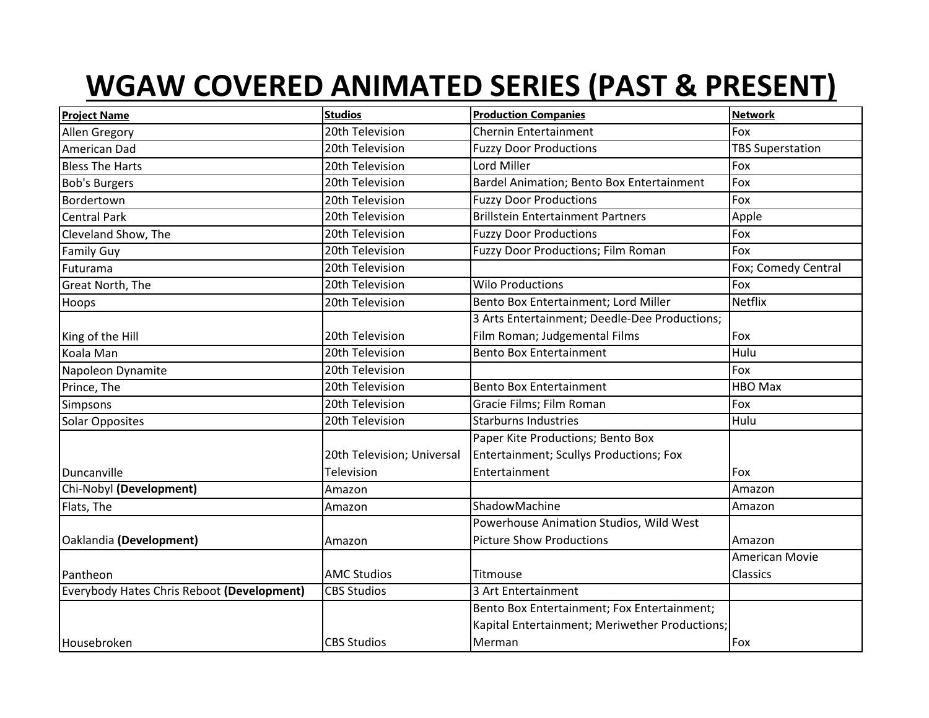## **WGAW COVERED ANIMATED SERIES (PAST & PRESENT)**

| <b>Project Name</b>                        | <b>Studios</b>             | <b>Production Companies</b>                    | <b>Network</b>          |
|--------------------------------------------|----------------------------|------------------------------------------------|-------------------------|
| Allen Gregory                              | 20th Television            | <b>Chernin Entertainment</b>                   | Fox                     |
| American Dad                               | 20th Television            | <b>Fuzzy Door Productions</b>                  | <b>TBS Superstation</b> |
| <b>Bless The Harts</b>                     | 20th Television            | Lord Miller                                    | Fox                     |
| <b>Bob's Burgers</b>                       | 20th Television            | Bardel Animation; Bento Box Entertainment      | Fox                     |
| Bordertown                                 | 20th Television            | <b>Fuzzy Door Productions</b>                  | Fox                     |
| <b>Central Park</b>                        | 20th Television            | <b>Brillstein Entertainment Partners</b>       | Apple                   |
| Cleveland Show, The                        | 20th Television            | <b>Fuzzy Door Productions</b>                  | Fox                     |
| <b>Family Guy</b>                          | 20th Television            | Fuzzy Door Productions; Film Roman             | Fox                     |
| Futurama                                   | 20th Television            |                                                | Fox; Comedy Central     |
| Great North, The                           | 20th Television            | <b>Wilo Productions</b>                        | Fox                     |
| Hoops                                      | 20th Television            | Bento Box Entertainment; Lord Miller           | <b>Netflix</b>          |
|                                            |                            | 3 Arts Entertainment; Deedle-Dee Productions;  |                         |
| King of the Hill                           | 20th Television            | Film Roman; Judgemental Films                  | Fox                     |
| Koala Man                                  | 20th Television            | <b>Bento Box Entertainment</b>                 | Hulu                    |
| Napoleon Dynamite                          | 20th Television            |                                                | Fox                     |
| Prince, The                                | 20th Television            | <b>Bento Box Entertainment</b>                 | <b>HBO Max</b>          |
| Simpsons                                   | 20th Television            | Gracie Films; Film Roman                       | Fox                     |
| Solar Opposites                            | 20th Television            | <b>Starburns Industries</b>                    | Hulu                    |
|                                            |                            | Paper Kite Productions; Bento Box              |                         |
|                                            | 20th Television; Universal | Entertainment; Scullys Productions; Fox        |                         |
| Duncanville                                | Television                 | Entertainment                                  | Fox                     |
| Chi-Nobyl (Development)                    | Amazon                     |                                                | Amazon                  |
| Flats, The                                 | Amazon                     | ShadowMachine                                  | Amazon                  |
|                                            |                            | Powerhouse Animation Studios, Wild West        |                         |
| Oaklandia (Development)                    | Amazon                     | <b>Picture Show Productions</b>                | Amazon                  |
|                                            |                            |                                                | American Movie          |
| Pantheon                                   | <b>AMC Studios</b>         | Titmouse                                       | Classics                |
| Everybody Hates Chris Reboot (Development) | <b>CBS Studios</b>         | 3 Art Entertainment                            |                         |
|                                            |                            | Bento Box Entertainment; Fox Entertainment;    |                         |
|                                            |                            | Kapital Entertainment; Meriwether Productions; |                         |
| Housebroken                                | <b>CBS Studios</b>         | Merman                                         | Fox                     |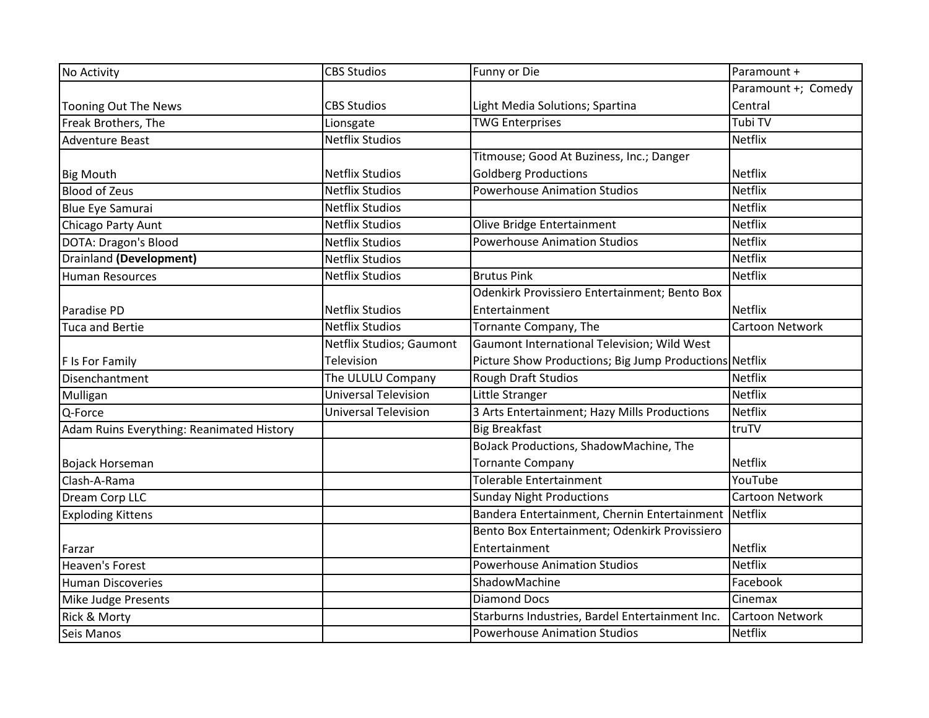| No Activity                               | <b>CBS Studios</b>          | Funny or Die                                           | Paramount +         |
|-------------------------------------------|-----------------------------|--------------------------------------------------------|---------------------|
|                                           |                             |                                                        | Paramount +; Comedy |
| Tooning Out The News                      | <b>CBS Studios</b>          | Light Media Solutions; Spartina                        | Central             |
| Freak Brothers, The                       | Lionsgate                   | <b>TWG Enterprises</b>                                 | Tubi TV             |
| <b>Adventure Beast</b>                    | <b>Netflix Studios</b>      |                                                        | <b>Netflix</b>      |
|                                           |                             | Titmouse; Good At Buziness, Inc.; Danger               |                     |
| <b>Big Mouth</b>                          | <b>Netflix Studios</b>      | <b>Goldberg Productions</b>                            | <b>Netflix</b>      |
| <b>Blood of Zeus</b>                      | <b>Netflix Studios</b>      | <b>Powerhouse Animation Studios</b>                    | <b>Netflix</b>      |
| <b>Blue Eye Samurai</b>                   | <b>Netflix Studios</b>      |                                                        | <b>Netflix</b>      |
| Chicago Party Aunt                        | <b>Netflix Studios</b>      | Olive Bridge Entertainment                             | Netflix             |
| DOTA: Dragon's Blood                      | <b>Netflix Studios</b>      | <b>Powerhouse Animation Studios</b>                    | <b>Netflix</b>      |
| <b>Drainland (Development)</b>            | <b>Netflix Studios</b>      |                                                        | <b>Netflix</b>      |
| <b>Human Resources</b>                    | <b>Netflix Studios</b>      | <b>Brutus Pink</b>                                     | <b>Netflix</b>      |
|                                           |                             | Odenkirk Provissiero Entertainment; Bento Box          |                     |
| Paradise PD                               | <b>Netflix Studios</b>      | Entertainment                                          | <b>Netflix</b>      |
| <b>Tuca and Bertie</b>                    | <b>Netflix Studios</b>      | Tornante Company, The                                  | Cartoon Network     |
|                                           | Netflix Studios; Gaumont    | Gaumont International Television; Wild West            |                     |
| F Is For Family                           | Television                  | Picture Show Productions; Big Jump Productions Netflix |                     |
| Disenchantment                            | The ULULU Company           | Rough Draft Studios                                    | Netflix             |
| Mulligan                                  | <b>Universal Television</b> | Little Stranger                                        | <b>Netflix</b>      |
| Q-Force                                   | <b>Universal Television</b> | 3 Arts Entertainment; Hazy Mills Productions           | Netflix             |
| Adam Ruins Everything: Reanimated History |                             | <b>Big Breakfast</b>                                   | truTV               |
|                                           |                             | BoJack Productions, ShadowMachine, The                 |                     |
| Bojack Horseman                           |                             | <b>Tornante Company</b>                                | Netflix             |
| Clash-A-Rama                              |                             | <b>Tolerable Entertainment</b>                         | YouTube             |
| Dream Corp LLC                            |                             | <b>Sunday Night Productions</b>                        | Cartoon Network     |
| <b>Exploding Kittens</b>                  |                             | Bandera Entertainment, Chernin Entertainment           | <b>Netflix</b>      |
|                                           |                             | Bento Box Entertainment; Odenkirk Provissiero          |                     |
| Farzar                                    |                             | Entertainment                                          | <b>Netflix</b>      |
| <b>Heaven's Forest</b>                    |                             | <b>Powerhouse Animation Studios</b>                    | Netflix             |
| <b>Human Discoveries</b>                  |                             | ShadowMachine                                          | Facebook            |
| Mike Judge Presents                       |                             | <b>Diamond Docs</b>                                    | Cinemax             |
| Rick & Morty                              |                             | Starburns Industries, Bardel Entertainment Inc.        | Cartoon Network     |
| Seis Manos                                |                             | <b>Powerhouse Animation Studios</b>                    | Netflix             |